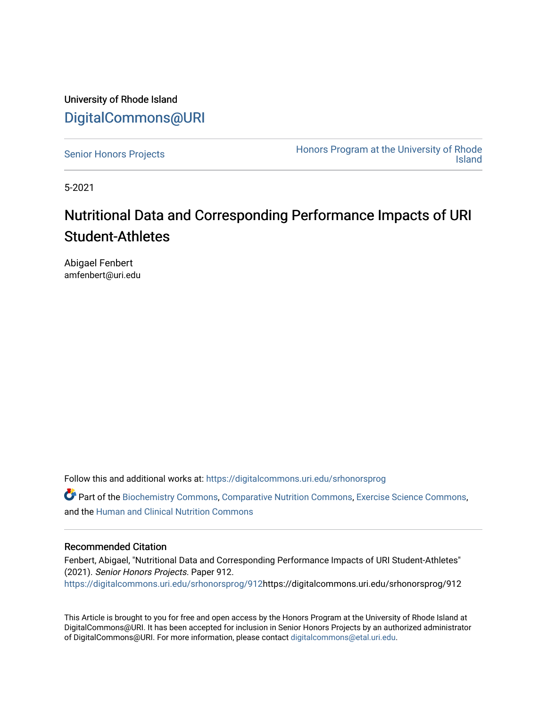University of Rhode Island [DigitalCommons@URI](https://digitalcommons.uri.edu/) 

[Senior Honors Projects](https://digitalcommons.uri.edu/srhonorsprog) **Honors Program at the University of Rhode** [Island](https://digitalcommons.uri.edu/honors_prog) 

5-2021

### Nutritional Data and Corresponding Performance Impacts of URI Student-Athletes

Abigael Fenbert amfenbert@uri.edu

Follow this and additional works at: [https://digitalcommons.uri.edu/srhonorsprog](https://digitalcommons.uri.edu/srhonorsprog?utm_source=digitalcommons.uri.edu%2Fsrhonorsprog%2F912&utm_medium=PDF&utm_campaign=PDFCoverPages)

Part of the [Biochemistry Commons](http://network.bepress.com/hgg/discipline/2?utm_source=digitalcommons.uri.edu%2Fsrhonorsprog%2F912&utm_medium=PDF&utm_campaign=PDFCoverPages), [Comparative Nutrition Commons,](http://network.bepress.com/hgg/discipline/96?utm_source=digitalcommons.uri.edu%2Fsrhonorsprog%2F912&utm_medium=PDF&utm_campaign=PDFCoverPages) [Exercise Science Commons](http://network.bepress.com/hgg/discipline/1091?utm_source=digitalcommons.uri.edu%2Fsrhonorsprog%2F912&utm_medium=PDF&utm_campaign=PDFCoverPages), and the [Human and Clinical Nutrition Commons](http://network.bepress.com/hgg/discipline/97?utm_source=digitalcommons.uri.edu%2Fsrhonorsprog%2F912&utm_medium=PDF&utm_campaign=PDFCoverPages) 

### Recommended Citation

Fenbert, Abigael, "Nutritional Data and Corresponding Performance Impacts of URI Student-Athletes" (2021). Senior Honors Projects. Paper 912. [https://digitalcommons.uri.edu/srhonorsprog/912](https://digitalcommons.uri.edu/srhonorsprog/912?utm_source=digitalcommons.uri.edu%2Fsrhonorsprog%2F912&utm_medium=PDF&utm_campaign=PDFCoverPages)https://digitalcommons.uri.edu/srhonorsprog/912

This Article is brought to you for free and open access by the Honors Program at the University of Rhode Island at DigitalCommons@URI. It has been accepted for inclusion in Senior Honors Projects by an authorized administrator of DigitalCommons@URI. For more information, please contact [digitalcommons@etal.uri.edu](mailto:digitalcommons@etal.uri.edu).